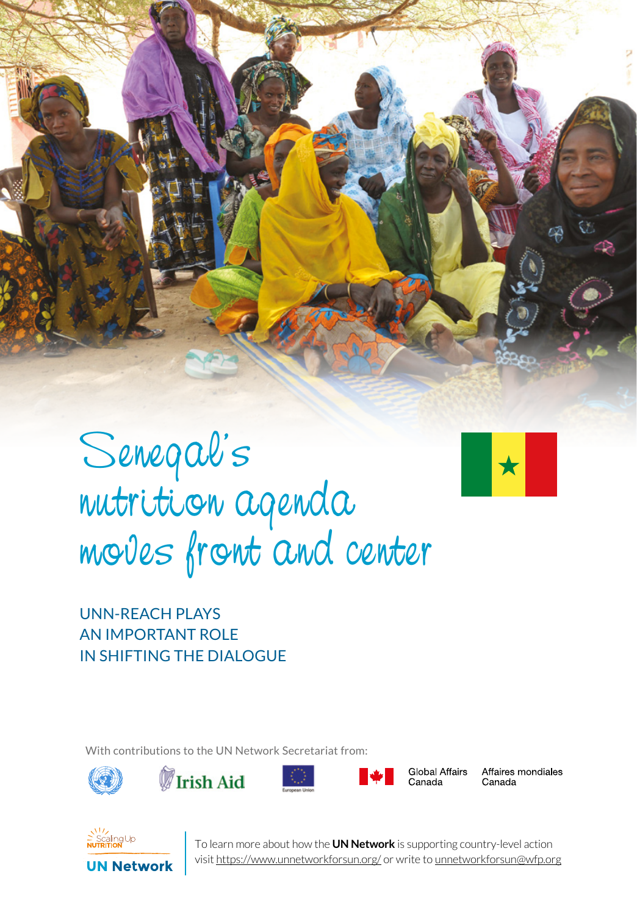

## Senegal's nutrition agenda moves front and center



UNN-REACH PLAYS AN IMPORTANT ROLE IN SHIFTING THE DIALOGUE

With contributions to the UN Network Secretariat from:









Global Affairs Canada

Affaires mondiales Canada



**1** To learn more about how the **UN Network** is supporting country-level action visit https://www.unnetworkforsun.org/ or write to unnetworkforsun@wfp.org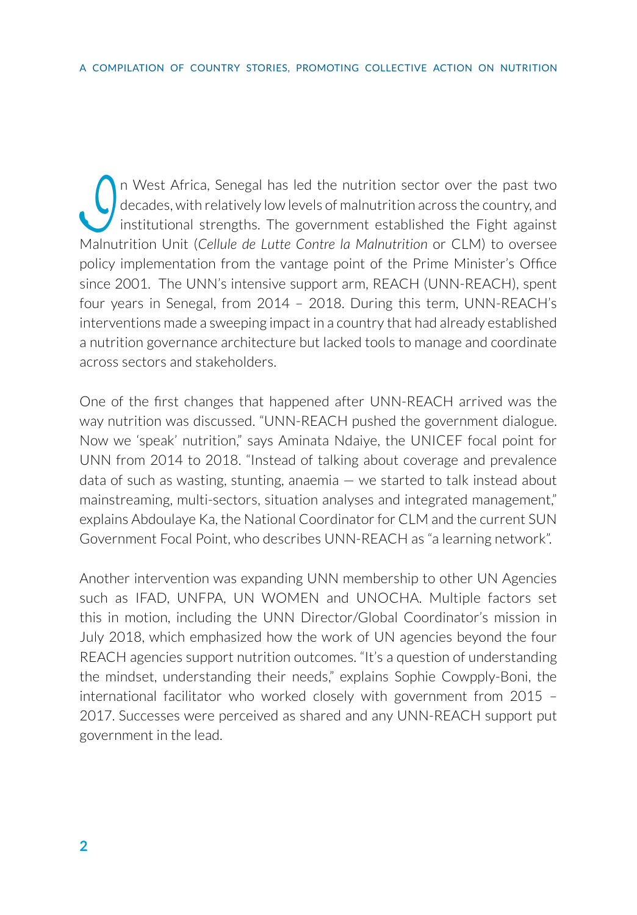In West Africa, Senegal has led the nutrition sector over the past two<br>decades, with relatively low levels of malnutrition across the country, and<br>institutional strengths. The government established the Fight against<br>Malnu decades, with relatively low levels of malnutrition across the country, and institutional strengths. The government established the Fight against Malnutrition Unit (*Cellule de Lutte Contre la Malnutrition* or CLM) to oversee policy implementation from the vantage point of the Prime Minister's Office since 2001. The UNN's intensive support arm, REACH (UNN-REACH), spent four years in Senegal, from 2014 – 2018. During this term, UNN-REACH's interventions made a sweeping impact in a country that had already established a nutrition governance architecture but lacked tools to manage and coordinate across sectors and stakeholders.

One of the first changes that happened after UNN-REACH arrived was the way nutrition was discussed. "UNN-REACH pushed the government dialogue. Now we 'speak' nutrition," says Aminata Ndaiye, the UNICEF focal point for UNN from 2014 to 2018. "Instead of talking about coverage and prevalence data of such as wasting, stunting, anaemia  $-$  we started to talk instead about mainstreaming, multi-sectors, situation analyses and integrated management," explains Abdoulaye Ka, the National Coordinator for CLM and the current SUN Government Focal Point, who describes UNN-REACH as "a learning network".

Another intervention was expanding UNN membership to other UN Agencies such as IFAD, UNFPA, UN WOMEN and UNOCHA. Multiple factors set this in motion, including the UNN Director/Global Coordinator's mission in July 2018, which emphasized how the work of UN agencies beyond the four REACH agencies support nutrition outcomes. "It's a question of understanding the mindset, understanding their needs," explains Sophie Cowpply-Boni, the international facilitator who worked closely with government from 2015 – 2017. Successes were perceived as shared and any UNN-REACH support put government in the lead.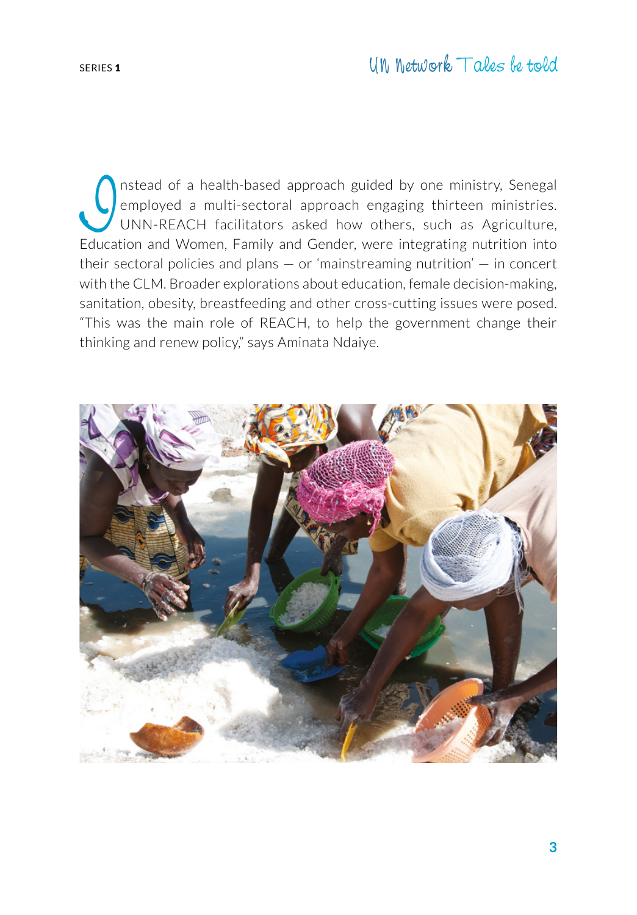## SERIES <sup>1</sup> UN Network Tales be told

Instead of a health-based approach guided by one ministry, Senegal<br>
Instead of a multi-sectoral approach engaging thirteen ministries.<br>
UNN-REACH facilitators asked how others, such as Agriculture,<br>
Education and Women Fam employed a multi-sectoral approach engaging thirteen ministries. UNN-REACH facilitators asked how others, such as Agriculture, Education and Women, Family and Gender, were integrating nutrition into their sectoral policies and plans  $-$  or 'mainstreaming nutrition'  $-$  in concert with the CLM. Broader explorations about education, female decision-making, sanitation, obesity, breastfeeding and other cross-cutting issues were posed. "This was the main role of REACH, to help the government change their thinking and renew policy," says Aminata Ndaiye.

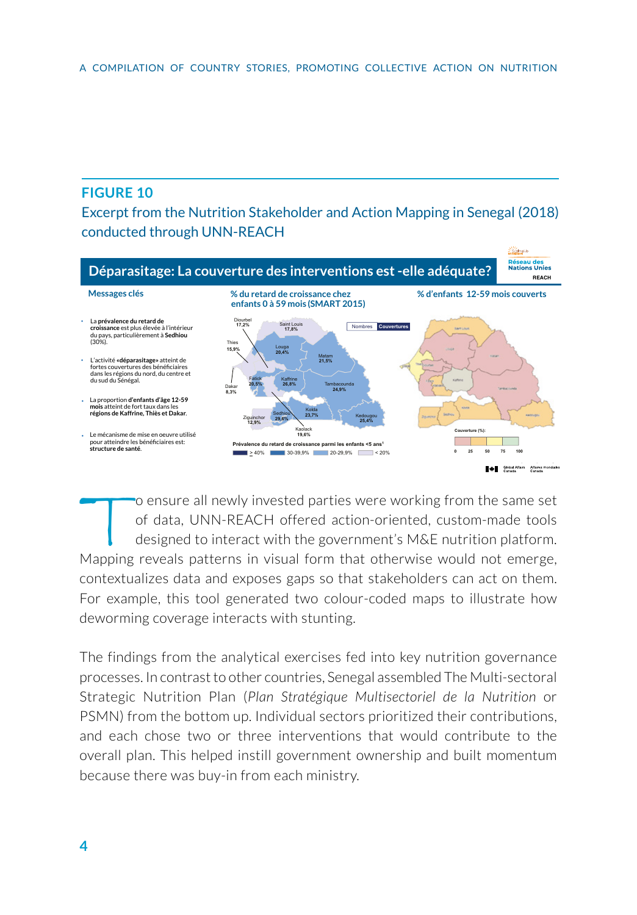## **FIGURE 10**

Excerpt from the Nutrition Stakeholder and Action Mapping in Senegal (2018) conducted through UNN-REACH



To ensure all newly invested parties were working from the same set<br>of data, UNN-REACH offered action-oriented, custom-made tools<br>designed to interact with the government's M&E nutrition platform.<br>Manning reveals patterns of data, UNN-REACH offered action-oriented, custom-made tools designed to interact with the government's M&E nutrition platform. Mapping reveals patterns in visual form that otherwise would not emerge, contextualizes data and exposes gaps so that stakeholders can act on them. For example, this tool generated two colour-coded maps to illustrate how deworming coverage interacts with stunting.

The findings from the analytical exercises fed into key nutrition governance processes. In contrast to other countries, Senegal assembled The Multi-sectoral Strategic Nutrition Plan (*Plan Stratégique Multisectoriel de la Nutrition* or PSMN) from the bottom up. Individual sectors prioritized their contributions, and each chose two or three interventions that would contribute to the overall plan. This helped instill government ownership and built momentum because there was buy-in from each ministry.